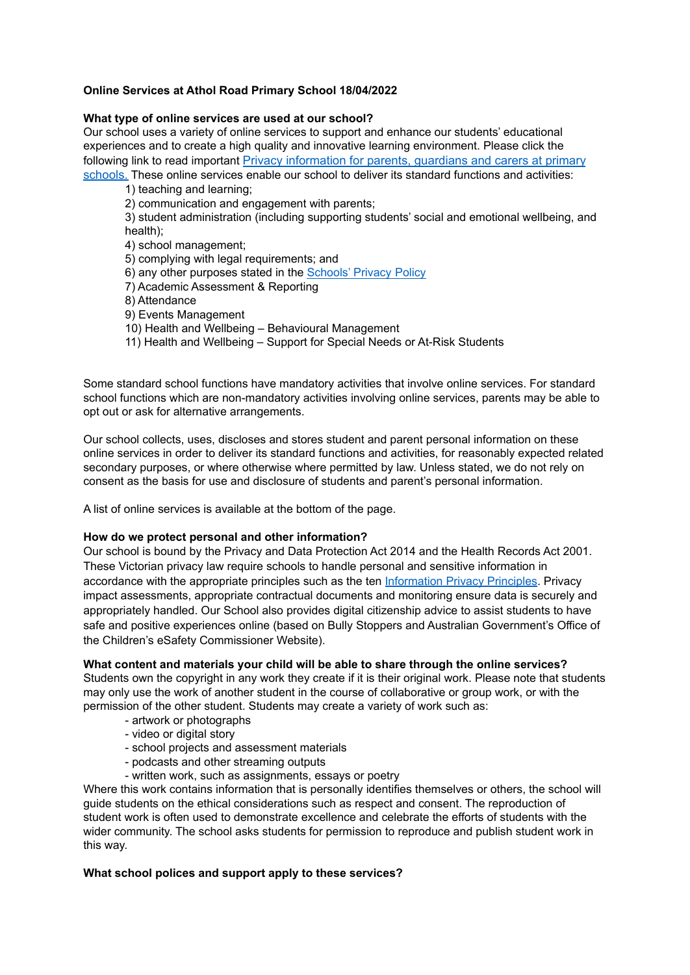# **Online Services at Athol Road Primary School 18/04/2022**

## **What type of online services are used at our school?**

Our school uses a variety of online services to support and enhance our students' educational experiences and to create a high quality and innovative learning environment. Please click the following link to read important Privacy information [for parents, guardians and carers at primary](http://www.education.vic.gov.au/Documents/Collection-Notice-PrimSchools.docx)

[schools.](http://www.education.vic.gov.au/Documents/Collection-Notice-PrimSchools.docx) These online services enable our school to deliver its standard functions and activities:

1) teaching and learning;

2) communication and engagement with parents;

3) student administration (including supporting students' social and emotional wellbeing, and health);

4) school management;

5) complying with legal requirements; and

- 6) any other purposes stated in the [Schools'](https://www.education.vic.gov.au/Pages/schoolsprivacypolicy.aspx) Privacy Policy
- 7) Academic Assessment & Reporting

8) Attendance

- 9) Events Management
- 10) Health and Wellbeing Behavioural Management
- 11) Health and Wellbeing Support for Special Needs or At-Risk Students

Some standard school functions have mandatory activities that involve online services. For standard school functions which are non-mandatory activities involving online services, parents may be able to opt out or ask for alternative arrangements.

Our school collects, uses, discloses and stores student and parent personal information on these online services in order to deliver its standard functions and activities, for reasonably expected related secondary purposes, or where otherwise where permitted by law. Unless stated, we do not rely on consent as the basis for use and disclosure of students and parent's personal information.

A list of online services is available at the bottom of the page.

# **How do we protect personal and other information?**

Our school is bound by the Privacy and Data Protection Act 2014 and the Health Records Act 2001. These Victorian privacy law require schools to handle personal and sensitive information in accordance with the appropriate principles such as the ten [Information](https://ovic.vic.gov.au/privacy/for-agencies/information-privacy-principles/) Privacy Principles. Privacy impact assessments, appropriate contractual documents and monitoring ensure data is securely and appropriately handled. Our School also provides digital citizenship advice to assist students to have safe and positive experiences online (based on Bully Stoppers and Australian Government's Office of the Children's eSafety Commissioner Website).

# **What content and materials your child will be able to share through the online services?**

Students own the copyright in any work they create if it is their original work. Please note that students may only use the work of another student in the course of collaborative or group work, or with the permission of the other student. Students may create a variety of work such as:

- artwork or photographs
- video or digital story
- school projects and assessment materials
- podcasts and other streaming outputs
- written work, such as assignments, essays or poetry

Where this work contains information that is personally identifies themselves or others, the school will guide students on the ethical considerations such as respect and consent. The reproduction of student work is often used to demonstrate excellence and celebrate the efforts of students with the wider community. The school asks students for permission to reproduce and publish student work in this way.

# **What school polices and support apply to these services?**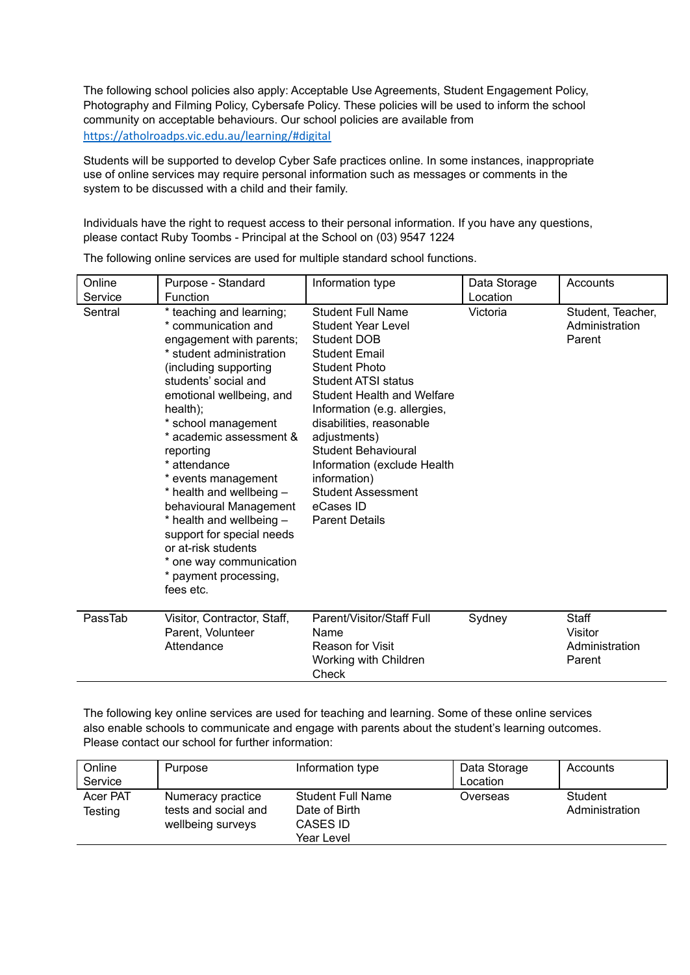The following school policies also apply: Acceptable Use Agreements, Student Engagement Policy, Photography and Filming Policy, Cybersafe Policy. These policies will be used to inform the school community on acceptable behaviours. Our school policies are available from <https://atholroadps.vic.edu.au/learning/#digital>

Students will be supported to develop Cyber Safe practices online. In some instances, inappropriate use of online services may require personal information such as messages or comments in the system to be discussed with a child and their family.

Individuals have the right to request access to their personal information. If you have any questions, please contact Ruby Toombs - Principal at the School on (03) 9547 1224

| Online<br>Service | Purpose - Standard<br>Function                                                                                                                                                                                                                                                                                                                                                                                                                                                                                | Information type                                                                                                                                                                                                                                                                                                                                                                                             | Data Storage<br>Location | Accounts                                      |
|-------------------|---------------------------------------------------------------------------------------------------------------------------------------------------------------------------------------------------------------------------------------------------------------------------------------------------------------------------------------------------------------------------------------------------------------------------------------------------------------------------------------------------------------|--------------------------------------------------------------------------------------------------------------------------------------------------------------------------------------------------------------------------------------------------------------------------------------------------------------------------------------------------------------------------------------------------------------|--------------------------|-----------------------------------------------|
| Sentral           | * teaching and learning;<br>* communication and<br>engagement with parents;<br>* student administration<br>(including supporting<br>students' social and<br>emotional wellbeing, and<br>health);<br>* school management<br>* academic assessment &<br>reporting<br>* attendance<br>* events management<br>* health and wellbeing -<br>behavioural Management<br>* health and wellbeing -<br>support for special needs<br>or at-risk students<br>* one way communication<br>* payment processing,<br>fees etc. | <b>Student Full Name</b><br><b>Student Year Level</b><br><b>Student DOB</b><br><b>Student Email</b><br><b>Student Photo</b><br>Student ATSI status<br>Student Health and Welfare<br>Information (e.g. allergies,<br>disabilities, reasonable<br>adjustments)<br><b>Student Behavioural</b><br>Information (exclude Health<br>information)<br><b>Student Assessment</b><br>eCases ID<br><b>Parent Details</b> | Victoria                 | Student, Teacher,<br>Administration<br>Parent |
| PassTab           | Visitor, Contractor, Staff,<br>Parent, Volunteer<br>Attendance                                                                                                                                                                                                                                                                                                                                                                                                                                                | Parent/Visitor/Staff Full<br>Name<br><b>Reason for Visit</b><br>Working with Children<br>Check                                                                                                                                                                                                                                                                                                               | Sydney                   | Staff<br>Visitor<br>Administration<br>Parent  |

The following online services are used for multiple standard school functions.

The following key online services are used for teaching and learning. Some of these online services also enable schools to communicate and engage with parents about the student's learning outcomes. Please contact our school for further information:

| Online   | Purpose              | Information type         | Data Storage | Accounts       |
|----------|----------------------|--------------------------|--------------|----------------|
| Service  |                      |                          | Location     |                |
| Acer PAT | Numeracy practice    | <b>Student Full Name</b> | Overseas     | Student        |
| Testing  | tests and social and | Date of Birth            |              | Administration |
|          | wellbeing surveys    | CASES ID                 |              |                |
|          |                      | Year Level               |              |                |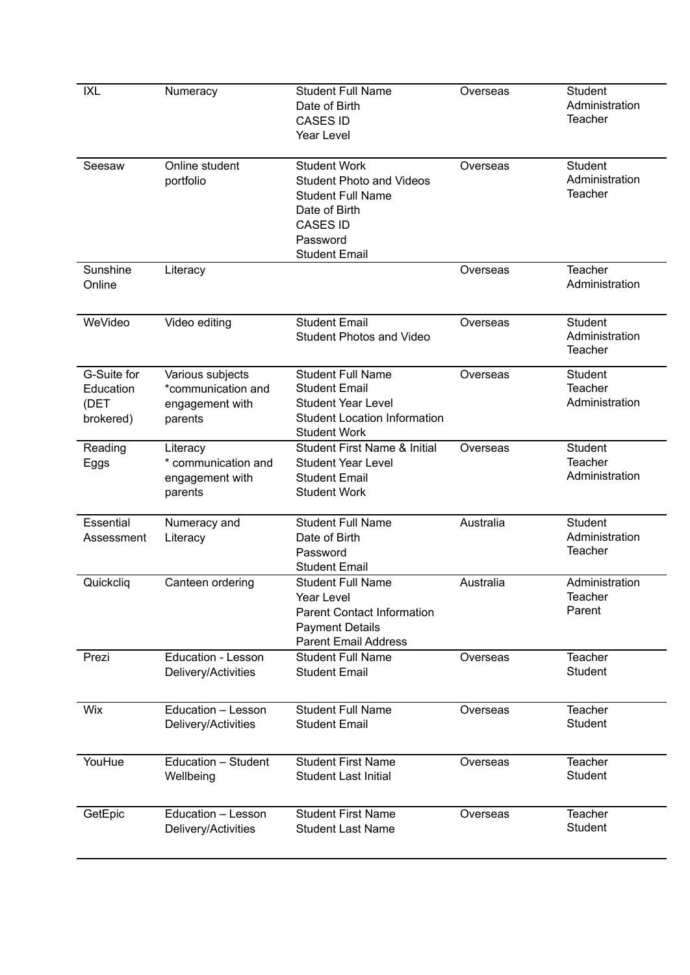| <b>IXL</b>                                    | Numeracy                                                             | <b>Student Full Name</b><br>Date of Birth<br><b>CASES ID</b><br>Year Level                                                                                 | Overseas  | Student<br>Administration<br><b>Teacher</b>        |
|-----------------------------------------------|----------------------------------------------------------------------|------------------------------------------------------------------------------------------------------------------------------------------------------------|-----------|----------------------------------------------------|
| Seesaw                                        | Online student<br>portfolio                                          | <b>Student Work</b><br><b>Student Photo and Videos</b><br><b>Student Full Name</b><br>Date of Birth<br><b>CASES ID</b><br>Password<br><b>Student Email</b> | Overseas  | <b>Student</b><br>Administration<br><b>Teacher</b> |
| Sunshine<br>Online                            | Literacy                                                             |                                                                                                                                                            | Overseas  | <b>Teacher</b><br>Administration                   |
| WeVideo                                       | Video editing                                                        | <b>Student Email</b><br><b>Student Photos and Video</b>                                                                                                    | Overseas  | <b>Student</b><br>Administration<br><b>Teacher</b> |
| G-Suite for<br>Education<br>(DET<br>brokered) | Various subjects<br>*communication and<br>engagement with<br>parents | <b>Student Full Name</b><br><b>Student Email</b><br><b>Student Year Level</b><br><b>Student Location Information</b><br><b>Student Work</b>                | Overseas  | <b>Student</b><br><b>Teacher</b><br>Administration |
| Reading<br>Eggs                               | Literacy<br>* communication and<br>engagement with<br>parents        | <b>Student First Name &amp; Initial</b><br><b>Student Year Level</b><br><b>Student Email</b><br><b>Student Work</b>                                        | Overseas  | <b>Student</b><br>Teacher<br>Administration        |
| Essential<br>Assessment                       | Numeracy and<br>Literacy                                             | <b>Student Full Name</b><br>Date of Birth<br>Password<br><b>Student Email</b>                                                                              | Australia | <b>Student</b><br>Administration<br><b>Teacher</b> |
| Quickcliq                                     | Canteen ordering                                                     | <b>Student Full Name</b><br>Year Level<br><b>Parent Contact Information</b><br><b>Payment Details</b><br><b>Parent Email Address</b>                       | Australia | Administration<br>Teacher<br>Parent                |
| Prezi                                         | <b>Education - Lesson</b><br>Delivery/Activities                     | <b>Student Full Name</b><br><b>Student Email</b>                                                                                                           | Overseas  | <b>Teacher</b><br><b>Student</b>                   |
| Wix                                           | Education - Lesson<br>Delivery/Activities                            | <b>Student Full Name</b><br><b>Student Email</b>                                                                                                           | Overseas  | Teacher<br><b>Student</b>                          |
| YouHue                                        | Education - Student<br>Wellbeing                                     | <b>Student First Name</b><br><b>Student Last Initial</b>                                                                                                   | Overseas  | <b>Teacher</b><br>Student                          |
| GetEpic                                       | Education - Lesson<br>Delivery/Activities                            | <b>Student First Name</b><br><b>Student Last Name</b>                                                                                                      | Overseas  | Teacher<br>Student                                 |